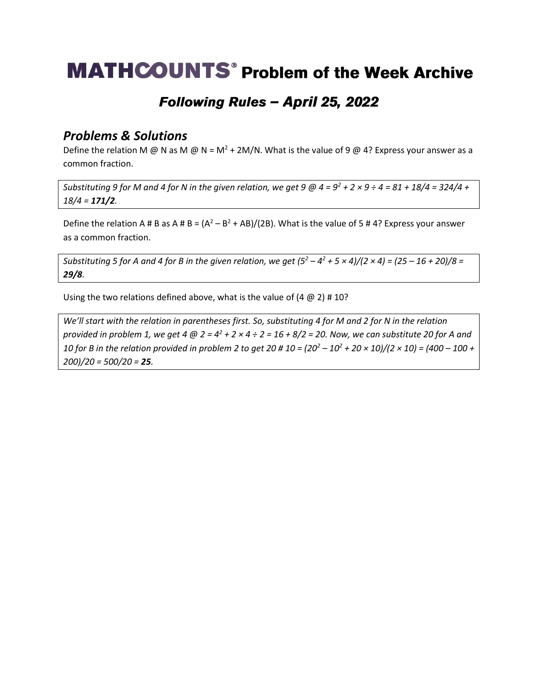# **MATHCOUNTS<sup>®</sup> Problem of the Week Archive**

### Following Rules - April 25, 2022

#### *Problems & Solutions*

Define the relation M @ N as M @ N =  $M^2$  + 2M/N. What is the value of 9 @ 4? Express your answer as a common fraction.

*Substituting 9 for M and 4 for N in the given relation, we get 9*  $@$  *4 =*  $9^2$  *+ 2 × 9 ÷ 4 = 81 + 18/4 = 324/4 + 18/4 = 171/2.*

Define the relation A # B as A # B =  $(A^2 - B^2 + AB)/(2B)$ . What is the value of 5 # 4? Express your answer as a common fraction.

*Substituting 5 for A and 4 for B in the given relation, we get*  $(5^2 - 4^2 + 5 \times 4)/(2 \times 4) = (25 - 16 + 20)/8 =$ *29/8.* 

Using the two relations defined above, what is the value of  $(4 \text{ } \textcircled{a 2})$  #10?

*We'll start with the relation in parentheses first. So, substituting 4 for M and 2 for N in the relation provided in problem 1, we get 4 @ 2 = 4<sup>2</sup> + 2 × 4 ÷ 2 = 16 + 8/2 = 20. Now, we can substitute 20 for A and 10 for B in the relation provided in problem 2 to get 20 # 10 = (20<sup>2</sup> – 10<sup>2</sup> + 20 × 10)/(2 × 10) = (400 – 100 + 200)/20 = 500/20 = 25.*